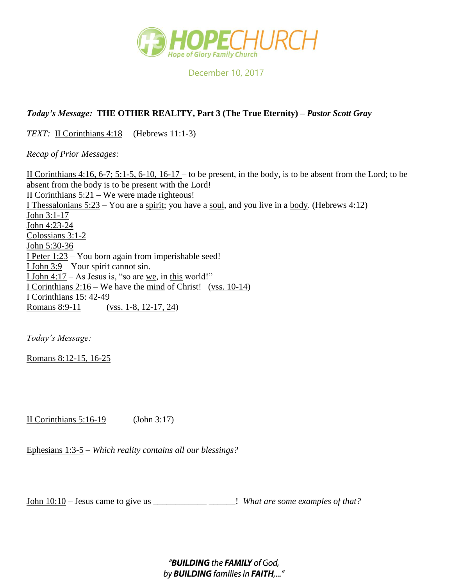

December 10, 2017

## *Today's Message:* **THE OTHER REALITY, Part 3 (The True Eternity) –** *Pastor Scott Gray*

*TEXT:* II Corinthians 4:18 (Hebrews 11:1-3)

*Recap of Prior Messages:*

II Corinthians 4:16, 6-7; 5:1-5, 6-10, 16-17 – to be present, in the body, is to be absent from the Lord; to be absent from the body is to be present with the Lord! II Corinthians  $5:21$  – We were made righteous! I Thessalonians  $5:23 -$ You are a spirit; you have a soul, and you live in a body. (Hebrews 4:12) John 3:1-17 John 4:23-24 Colossians 3:1-2 John 5:30-36 I Peter 1:23 – You born again from imperishable seed! <u>I John 3:9</u> – Your spirit cannot sin. I John  $4:17$  – As Jesus is, "so are we, in this world!" I Corinthians 2:16 – We have the mind of Christ! (vss. 10-14) I Corinthians 15: 42-49 Romans 8:9-11 (vss. 1-8, 12-17, 24)

*Today's Message:*

Romans 8:12-15, 16-25

II Corinthians 5:16-19 (John 3:17)

Ephesians 1:3-5 *– Which reality contains all our blessings?*

John 10:10 – Jesus came to give us \_\_\_\_\_\_\_\_\_\_\_\_ \_\_\_\_\_\_! *What are some examples of that?*

"BUILDING the FAMILY of God, by **BUILDING** families in FAITH,..."